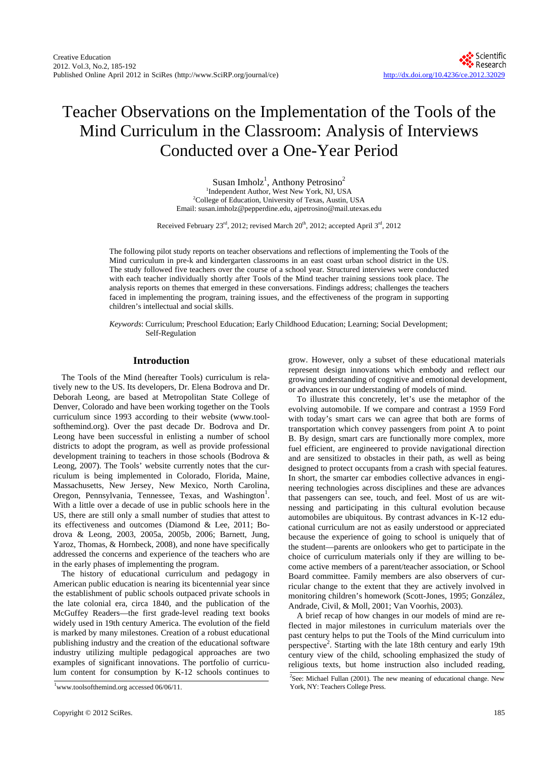# Teacher Observations on the Implementation of the Tools of the Mind Curriculum in the Classroom: Analysis of Interviews Conducted over a One-Year Period

Susan Imholz<sup>1</sup>, Anthony Petrosino<sup>2</sup> <sup>1</sup>Independent Author, West New York, NJ, USA <sup>2</sup>College of Education, University of Texas, Austin, USA Email: susan.imholz@pepperdine.edu, ajpetrosino@mail.utexas.edu

Received February 23<sup>rd</sup>, 2012; revised March 20<sup>th</sup>, 2012; accepted April  $3^{\text{rd}}$ , 2012

The following pilot study reports on teacher observations and reflections of implementing the Tools of the Mind curriculum in pre-k and kindergarten classrooms in an east coast urban school district in the US. The study followed five teachers over the course of a school year. Structured interviews were conducted with each teacher individually shortly after Tools of the Mind teacher training sessions took place. The analysis reports on themes that emerged in these conversations. Findings address; challenges the teachers faced in implementing the program, training issues, and the effectiveness of the program in supporting children's intellectual and social skills.

*Keywords*: Curriculum; Preschool Education; Early Childhood Education; Learning; Social Development; Self-Regulation

# **Introduction**

The Tools of the Mind (hereafter Tools) curriculum is relatively new to the US. Its developers, Dr. Elena Bodrova and Dr. Deborah Leong, are based at Metropolitan State College of Denver, Colorado and have been working together on the Tools curriculum since 1993 according to their website (www.toolsofthemind.org). Over the past decade Dr. Bodrova and Dr. Leong have been successful in enlisting a number of school districts to adopt the program, as well as provide professional development training to teachers in those schools (Bodrova & Leong, 2007). The Tools' website currently notes that the curriculum is being implemented in Colorado, Florida, Maine, Massachusetts, New Jersey, New Mexico, North Carolina, Oregon, Pennsylvania, Tennessee, Texas, and Washington<sup>1</sup>. With a little over a decade of use in public schools here in the US, there are still only a small number of studies that attest to its effectiveness and outcomes (Diamond & Lee, 2011; Bodrova & Leong, 2003, 2005a, 2005b, 2006; Barnett, Jung, Yaroz, Thomas, & Hornbeck, 2008), and none have specifically addressed the concerns and experience of the teachers who are in the early phases of implementing the program.

The history of educational curriculum and pedagogy in American public education is nearing its bicentennial year since the establishment of public schools outpaced private schools in the late colonial era, circa 1840, and the publication of the McGuffey Readers—the first grade-level reading text books widely used in 19th century America. The evolution of the field is marked by many milestones. Creation of a robust educational publishing industry and the creation of the educational software industry utilizing multiple pedagogical approaches are two examples of significant innovations. The portfolio of curriculum content for consumption by K-12 schools continues to

grow. However, only a subset of these educational materials represent design innovations which embody and reflect our growing understanding of cognitive and emotional development, or advances in our understanding of models of mind.

To illustrate this concretely, let's use the metaphor of the evolving automobile. If we compare and contrast a 1959 Ford with today's smart cars we can agree that both are forms of transportation which convey passengers from point A to point B. By design, smart cars are functionally more complex, more fuel efficient, are engineered to provide navigational direction and are sensitized to obstacles in their path, as well as being designed to protect occupants from a crash with special features. In short, the smarter car embodies collective advances in engineering technologies across disciplines and these are advances that passengers can see, touch, and feel. Most of us are witnessing and participating in this cultural evolution because automobiles are ubiquitous. By contrast advances in K-12 educational curriculum are not as easily understood or appreciated because the experience of going to school is uniquely that of the student—parents are onlookers who get to participate in the choice of curriculum materials only if they are willing to become active members of a parent/teacher association, or School Board committee. Family members are also observers of curricular change to the extent that they are actively involved in monitoring children's homework (Scott-Jones, 1995; González, Andrade, Civil, & Moll, 2001; Van Voorhis, 2003).

A brief recap of how changes in our models of mind are reflected in major milestones in curriculum materials over the past century helps to put the Tools of the Mind curriculum into perspective<sup>2</sup>. Starting with the late 18th century and early 19th century view of the child, schooling emphasized the study of religious texts, but home instruction also included reading,

<sup>&</sup>lt;sup>1</sup>www.toolsofthemind.org accessed 06/06/11. York, NY: Teachers College Press.

<sup>&</sup>lt;sup>2</sup>See: Michael Fullan (2001). The new meaning of educational change. New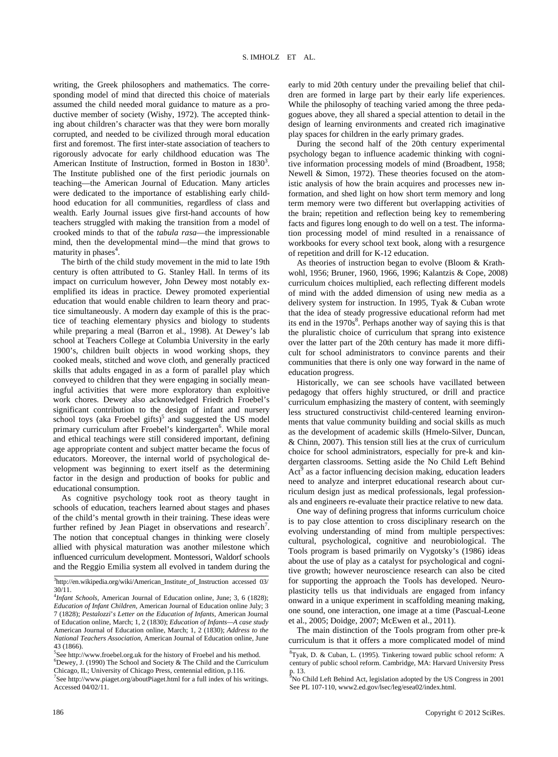writing, the Greek philosophers and mathematics. The corresponding model of mind that directed this choice of materials assumed the child needed moral guidance to mature as a productive member of society (Wishy, 1972). The accepted thinking about children's character was that they were born morally corrupted, and needed to be civilized through moral education first and foremost. The first inter-state association of teachers to rigorously advocate for early childhood education was The American Institute of Instruction, formed in Boston in  $1830<sup>3</sup>$ . The Institute published one of the first periodic journals on teaching—the American Journal of Education. Many articles were dedicated to the importance of establishing early childhood education for all communities, regardless of class and wealth. Early Journal issues give first-hand accounts of how teachers struggled with making the transition from a model of crooked minds to that of the *tabula rasa*—the impressionable mind, then the developmental mind—the mind that grows to maturity in phases<sup>4</sup>.

The birth of the child study movement in the mid to late 19th century is often attributed to G. Stanley Hall. In terms of its impact on curriculum however, John Dewey most notably exemplified its ideas in practice. Dewey promoted experiential education that would enable children to learn theory and practice simultaneously. A modern day example of this is the practice of teaching elementary physics and biology to students while preparing a meal (Barron et al., 1998). At Dewey's lab school at Teachers College at Columbia University in the early 1900's, children built objects in wood working shops, they cooked meals, stitched and wove cloth, and generally practiced skills that adults engaged in as a form of parallel play which conveyed to children that they were engaging in socially meaningful activities that were more exploratory than exploitive work chores. Dewey also acknowledged Friedrich Froebel's significant contribution to the design of infant and nursery school toys (aka Froebel gifts)<sup>5</sup> and suggested the US model primary curriculum after Froebel's kindergarten<sup>6</sup>. While moral and ethical teachings were still considered important, defining age appropriate content and subject matter became the focus of educators. Moreover, the internal world of psychological development was beginning to exert itself as the determining factor in the design and production of books for public and educational consumption.

As cognitive psychology took root as theory taught in schools of education, teachers learned about stages and phases of the child's mental growth in their training. These ideas were further refined by Jean Piaget in observations and research<sup>7</sup>. The notion that conceptual changes in thinking were closely allied with physical maturation was another milestone which influenced curriculum development. Montessori, Waldorf schools and the Reggio Emilia system all evolved in tandem during the

 ${}^{5}$ See http://www.froebel.org.uk for the history of Froebel and his method.

 ${}^{6}$ Dewey, J. (1990) The School and Society & The Child and the Curriculum Chicago, IL; University of Chicago Press, centennial edition, p.116.

7 See http://www.piaget.org/aboutPiaget.html for a full index of his writings. Accessed 04/02/11.

early to mid 20th century under the prevailing belief that children are formed in large part by their early life experiences. While the philosophy of teaching varied among the three pedagogues above, they all shared a special attention to detail in the design of learning environments and created rich imaginative play spaces for children in the early primary grades.

During the second half of the 20th century experimental psychology began to influence academic thinking with cognitive information processing models of mind (Broadbent, 1958; Newell & Simon, 1972). These theories focused on the atomistic analysis of how the brain acquires and processes new information, and shed light on how short term memory and long term memory were two different but overlapping activities of the brain; repetition and reflection being key to remembering facts and figures long enough to do well on a test. The information processing model of mind resulted in a renaissance of workbooks for every school text book, along with a resurgence of repetition and drill for K-12 education.

As theories of instruction began to evolve (Bloom & Krathwohl, 1956; Bruner, 1960, 1966, 1996; Kalantzis & Cope, 2008) curriculum choices multiplied, each reflecting different models of mind with the added dimension of using new media as a delivery system for instruction. In 1995, Tyak & Cuban wrote that the idea of steady progressive educational reform had met its end in the  $1970s<sup>8</sup>$ . Perhaps another way of saying this is that the pluralistic choice of curriculum that sprang into existence over the latter part of the 20th century has made it more difficult for school administrators to convince parents and their communities that there is only one way forward in the name of education progress.

Historically, we can see schools have vacillated between pedagogy that offers highly structured, or drill and practice curriculum emphasizing the mastery of content, with seemingly less structured constructivist child-centered learning environments that value community building and social skills as much as the development of academic skills (Hmelo-Silver, Duncan, & Chinn, 2007). This tension still lies at the crux of curriculum choice for school administrators, especially for pre-k and kindergarten classrooms. Setting aside the No Child Left Behind  $Act<sup>9</sup>$  as a factor influencing decision making, education leaders need to analyze and interpret educational research about curriculum design just as medical professionals, legal professionals and engineers re-evaluate their practice relative to new data.

One way of defining progress that informs curriculum choice is to pay close attention to cross disciplinary research on the evolving understanding of mind from multiple perspectives: cultural, psychological, cognitive and neurobiological. The Tools program is based primarily on Vygotsky's (1986) ideas about the use of play as a catalyst for psychological and cognitive growth; however neuroscience research can also be cited for supporting the approach the Tools has developed. Neuroplasticity tells us that individuals are engaged from infancy onward in a unique experiment in scaffolding meaning making, one sound, one interaction, one image at a time (Pascual-Leone et al., 2005; Doidge, 2007; McEwen et al., 2011).

The main distinction of the Tools program from other pre-k curriculum is that it offers a more complicated model of mind

<sup>&</sup>lt;sup>3</sup>http://en.wikipedia.org/wiki/American\_Institute\_of\_Instruction accessed 03/

<sup>30/11.</sup>  4 *Infant Schools*, American Journal of Education online, June; 3, 6 (1828); *Education of Infant Children*, American Journal of Education online July; 3 7 (1828); *Pestalozzi*'*s Letter on the Education of Infants,* American Journal of Education online, March; 1, 2 (1830); *Education of Infants—A case study,* American Journal of Education online, March; 1, 2 (1830); *Address to the National Teachers Association*, American Journal of Education online, June 43 (1866).

<sup>8</sup> Tyak, D. & Cuban, L. (1995). Tinkering toward public school reform: A century of public school reform. Cambridge, MA: Harvard University Press p. 13. 9 No Child Left Behind Act, legislation adopted by the US Congress in 2001

See PL 107-110, www2.ed.gov/lsec/leg/esea02/index.html.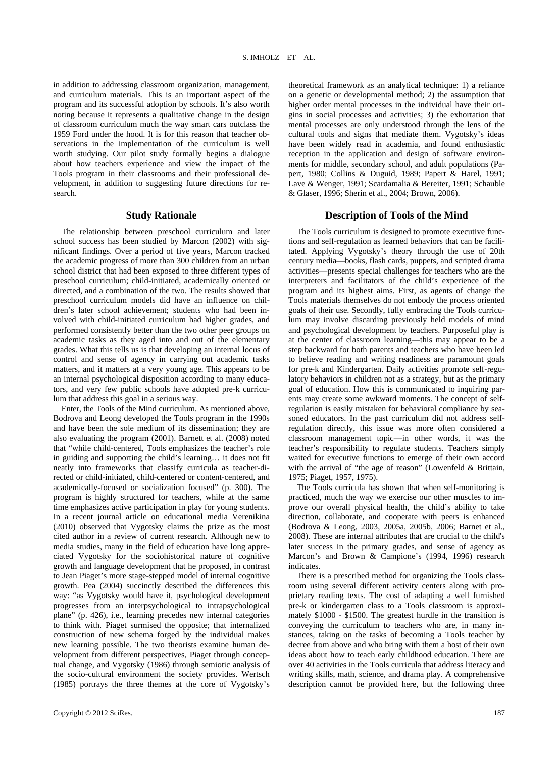in addition to addressing classroom organization, management, and curriculum materials. This is an important aspect of the program and its successful adoption by schools. It's also worth noting because it represents a qualitative change in the design of classroom curriculum much the way smart cars outclass the 1959 Ford under the hood. It is for this reason that teacher observations in the implementation of the curriculum is well worth studying. Our pilot study formally begins a dialogue about how teachers experience and view the impact of the Tools program in their classrooms and their professional development, in addition to suggesting future directions for research.

# **Study Rationale**

The relationship between preschool curriculum and later school success has been studied by Marcon (2002) with significant findings. Over a period of five years, Marcon tracked the academic progress of more than 300 children from an urban school district that had been exposed to three different types of preschool curriculum; child-initiated, academically oriented or directed, and a combination of the two. The results showed that preschool curriculum models did have an influence on children's later school achievement; students who had been involved with child-initiated curriculum had higher grades, and performed consistently better than the two other peer groups on academic tasks as they aged into and out of the elementary grades. What this tells us is that developing an internal locus of control and sense of agency in carrying out academic tasks matters, and it matters at a very young age. This appears to be an internal psychological disposition according to many educators, and very few public schools have adopted pre-k curriculum that address this goal in a serious way.

Enter, the Tools of the Mind curriculum. As mentioned above, Bodrova and Leong developed the Tools program in the 1990s and have been the sole medium of its dissemination; they are also evaluating the program (2001). Barnett et al. (2008) noted that "while child-centered, Tools emphasizes the teacher's role in guiding and supporting the child's learning… it does not fit neatly into frameworks that classify curricula as teacher-directed or child-initiated, child-centered or content-centered, and academically-focused or socialization focused" (p. 300). The program is highly structured for teachers, while at the same time emphasizes active participation in play for young students. In a recent journal article on educational media Verenikina (2010) observed that Vygotsky claims the prize as the most cited author in a review of current research. Although new to media studies, many in the field of education have long appreciated Vygotsky for the sociohistorical nature of cognitive growth and language development that he proposed, in contrast to Jean Piaget's more stage-stepped model of internal cognitive growth. Pea (2004) succinctly described the differences this way: "as Vygotsky would have it, psychological development progresses from an interpsychological to intrapsychological plane" (p. 426), i.e., learning precedes new internal categories to think with. Piaget surmised the opposite; that internalized construction of new schema forged by the individual makes new learning possible. The two theorists examine human development from different perspectives, Piaget through conceptual change, and Vygotsky (1986) through semiotic analysis of the socio-cultural environment the society provides. Wertsch (1985) portrays the three themes at the core of Vygotsky's

theoretical framework as an analytical technique: 1) a reliance on a genetic or developmental method; 2) the assumption that higher order mental processes in the individual have their origins in social processes and activities; 3) the exhortation that mental processes are only understood through the lens of the cultural tools and signs that mediate them. Vygotsky's ideas have been widely read in academia, and found enthusiastic reception in the application and design of software environments for middle, secondary school, and adult populations (Papert, 1980; Collins & Duguid, 1989; Papert & Harel, 1991; Lave & Wenger, 1991; Scardamalia & Bereiter, 1991; Schauble & Glaser, 1996; Sherin et al., 2004; Brown, 2006).

# **Description of Tools of the Mind**

The Tools curriculum is designed to promote executive functions and self-regulation as learned behaviors that can be facilitated. Applying Vygotsky's theory through the use of 20th century media—books, flash cards, puppets, and scripted drama activities—presents special challenges for teachers who are the interpreters and facilitators of the child's experience of the program and its highest aims. First, as agents of change the Tools materials themselves do not embody the process oriented goals of their use. Secondly, fully embracing the Tools curriculum may involve discarding previously held models of mind and psychological development by teachers. Purposeful play is at the center of classroom learning—this may appear to be a step backward for both parents and teachers who have been led to believe reading and writing readiness are paramount goals for pre-k and Kindergarten. Daily activities promote self-regulatory behaviors in children not as a strategy, but as the primary goal of education. How this is communicated to inquiring parents may create some awkward moments. The concept of selfregulation is easily mistaken for behavioral compliance by seasoned educators. In the past curriculum did not address selfregulation directly, this issue was more often considered a classroom management topic—in other words, it was the teacher's responsibility to regulate students. Teachers simply waited for executive functions to emerge of their own accord with the arrival of "the age of reason" (Lowenfeld & Brittain, 1975; Piaget, 1957, 1975).

The Tools curricula has shown that when self-monitoring is practiced, much the way we exercise our other muscles to improve our overall physical health, the child's ability to take direction, collaborate, and cooperate with peers is enhanced (Bodrova & Leong, 2003, 2005a, 2005b, 2006; Barnet et al., 2008). These are internal attributes that are crucial to the child's later success in the primary grades, and sense of agency as Marcon's and Brown & Campione's (1994, 1996) research indicates.

There is a prescribed method for organizing the Tools classroom using several different activity centers along with proprietary reading texts. The cost of adapting a well furnished pre-k or kindergarten class to a Tools classroom is approximately \$1000 - \$1500. The greatest hurdle in the transition is conveying the curriculum to teachers who are, in many instances, taking on the tasks of becoming a Tools teacher by decree from above and who bring with them a host of their own ideas about how to teach early childhood education. There are over 40 activities in the Tools curricula that address literacy and writing skills, math, science, and drama play. A comprehensive description cannot be provided here, but the following three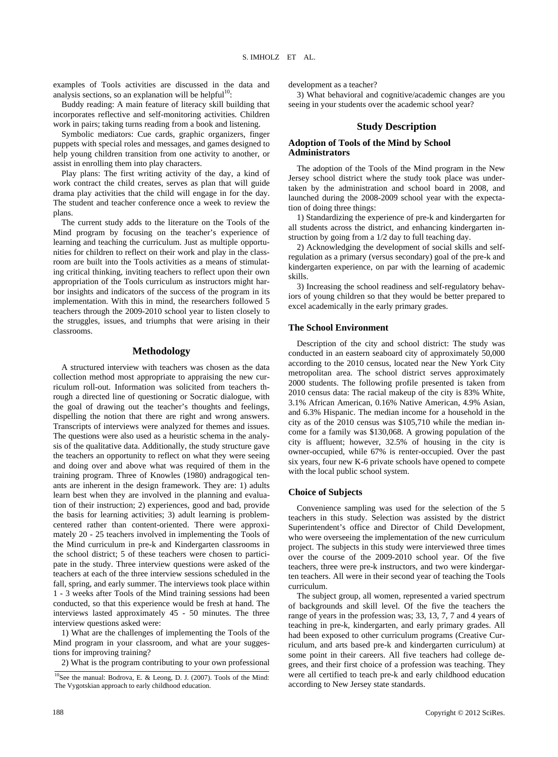examples of Tools activities are discussed in the data and analysis sections, so an explanation will be helpful<sup>10</sup>:

Buddy reading: A main feature of literacy skill building that incorporates reflective and self-monitoring activities. Children work in pairs; taking turns reading from a book and listening.

Symbolic mediators: Cue cards, graphic organizers, finger puppets with special roles and messages, and games designed to help young children transition from one activity to another, or assist in enrolling them into play characters.

Play plans: The first writing activity of the day, a kind of work contract the child creates, serves as plan that will guide drama play activities that the child will engage in for the day. The student and teacher conference once a week to review the plans.

The current study adds to the literature on the Tools of the Mind program by focusing on the teacher's experience of learning and teaching the curriculum. Just as multiple opportunities for children to reflect on their work and play in the classroom are built into the Tools activities as a means of stimulating critical thinking, inviting teachers to reflect upon their own appropriation of the Tools curriculum as instructors might harbor insights and indicators of the success of the program in its implementation. With this in mind, the researchers followed 5 teachers through the 2009-2010 school year to listen closely to the struggles, issues, and triumphs that were arising in their classrooms.

# **Methodology**

A structured interview with teachers was chosen as the data collection method most appropriate to appraising the new curriculum roll-out. Information was solicited from teachers through a directed line of questioning or Socratic dialogue, with the goal of drawing out the teacher's thoughts and feelings, dispelling the notion that there are right and wrong answers. Transcripts of interviews were analyzed for themes and issues. The questions were also used as a heuristic schema in the analysis of the qualitative data. Additionally, the study structure gave the teachers an opportunity to reflect on what they were seeing and doing over and above what was required of them in the training program. Three of Knowles (1980) andragogical tenants are inherent in the design framework. They are: 1) adults learn best when they are involved in the planning and evaluation of their instruction; 2) experiences, good and bad, provide the basis for learning activities; 3) adult learning is problemcentered rather than content-oriented. There were approximately 20 - 25 teachers involved in implementing the Tools of the Mind curriculum in pre-k and Kindergarten classrooms in the school district; 5 of these teachers were chosen to participate in the study. Three interview questions were asked of the teachers at each of the three interview sessions scheduled in the fall, spring, and early summer. The interviews took place within 1 - 3 weeks after Tools of the Mind training sessions had been conducted, so that this experience would be fresh at hand. The interviews lasted approximately 45 - 50 minutes. The three interview questions asked were:

1) What are the challenges of implementing the Tools of the Mind program in your classroom, and what are your suggestions for improving training?

2) What is the program contributing to your own professional

development as a teacher?

3) What behavioral and cognitive/academic changes are you seeing in your students over the academic school year?

# **Study Description**

# **Adoption of Tools of the Mind by School Administrators**

The adoption of the Tools of the Mind program in the New Jersey school district where the study took place was undertaken by the administration and school board in 2008, and launched during the 2008-2009 school year with the expectation of doing three things:

1) Standardizing the experience of pre-k and kindergarten for all students across the district, and enhancing kindergarten instruction by going from a 1/2 day to full teaching day.

2) Acknowledging the development of social skills and selfregulation as a primary (versus secondary) goal of the pre-k and kindergarten experience, on par with the learning of academic skills.

3) Increasing the school readiness and self-regulatory behaviors of young children so that they would be better prepared to excel academically in the early primary grades.

## **The School Environment**

Description of the city and school district: The study was conducted in an eastern seaboard city of approximately 50,000 according to the 2010 census, located near the New York City metropolitan area. The school district serves approximately 2000 students. The following profile presented is taken from 2010 census data: The racial makeup of the city is 83% White, 3.1% African American, 0.16% Native American, 4.9% Asian, and 6.3% Hispanic. The median income for a household in the city as of the 2010 census was \$105,710 while the median income for a family was \$130,068. A growing population of the city is affluent; however, 32.5% of housing in the city is owner-occupied, while 67% is renter-occupied. Over the past six years, four new K-6 private schools have opened to compete with the local public school system.

## **Choice of Subjects**

Convenience sampling was used for the selection of the 5 teachers in this study. Selection was assisted by the district Superintendent's office and Director of Child Development, who were overseeing the implementation of the new curriculum project. The subjects in this study were interviewed three times over the course of the 2009-2010 school year. Of the five teachers, three were pre-k instructors, and two were kindergarten teachers. All were in their second year of teaching the Tools curriculum.

The subject group, all women, represented a varied spectrum of backgrounds and skill level. Of the five the teachers the range of years in the profession was; 33, 13, 7, 7 and 4 years of teaching in pre-k, kindergarten, and early primary grades. All had been exposed to other curriculum programs (Creative Curriculum, and arts based pre-k and kindergarten curriculum) at some point in their careers. All five teachers had college degrees, and their first choice of a profession was teaching. They were all certified to teach pre-k and early childhood education according to New Jersey state standards.

<sup>&</sup>lt;sup>10</sup>See the manual: Bodrova, E. & Leong, D. J. (2007). Tools of the Mind: The Vygotskian approach to early childhood education.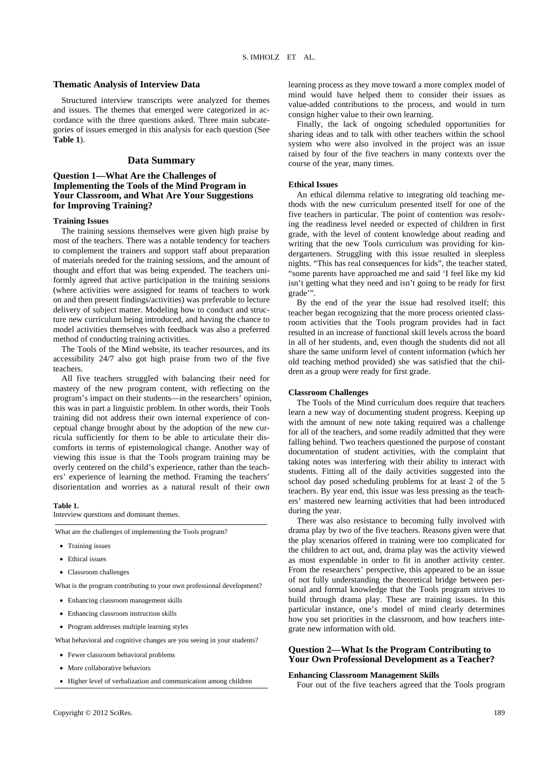## **Thematic Analysis of Interview Data**

Structured interview transcripts were analyzed for themes and issues. The themes that emerged were categorized in accordance with the three questions asked. Three main subcategories of issues emerged in this analysis for each question (See **Table 1**).

# **Data Summary**

# **Question 1—What Are the Challenges of Implementing the Tools of the Mind Program in Your Classroom, and What Are Your Suggestions for Improving Training?**

#### **Training Issues**

The training sessions themselves were given high praise by most of the teachers. There was a notable tendency for teachers to complement the trainers and support staff about preparation of materials needed for the training sessions, and the amount of thought and effort that was being expended. The teachers uniformly agreed that active participation in the training sessions (where activities were assigned for teams of teachers to work on and then present findings/activities) was preferable to lecture delivery of subject matter. Modeling how to conduct and structure new curriculum being introduced, and having the chance to model activities themselves with feedback was also a preferred method of conducting training activities.

The Tools of the Mind website, its teacher resources, and its accessibility 24/7 also got high praise from two of the five teachers.

All five teachers struggled with balancing their need for mastery of the new program content, with reflecting on the program's impact on their students—in the researchers' opinion, this was in part a linguistic problem. In other words, their Tools training did not address their own internal experience of conceptual change brought about by the adoption of the new curricula sufficiently for them to be able to articulate their discomforts in terms of epistemological change. Another way of viewing this issue is that the Tools program training may be overly centered on the child's experience, rather than the teachers' experience of learning the method. Framing the teachers' disorientation and worries as a natural result of their own

#### **Table 1.**

Interview questions and dominant themes.

What are the challenges of implementing the Tools program?

- Training issues
- **•** Ethical issues
- Classroom challenges

What is the program contributing to your own professional development?

- Enhancing classroom management skills
- Enhancing classroom instruction skills
- Program addresses multiple learning styles

What behavioral and cognitive changes are you seeing in your students?

- Fewer classroom behavioral problems
- More collaborative behaviors
- Higher level of verbalization and communication among children

learning process as they move toward a more complex model of mind would have helped them to consider their issues as value-added contributions to the process, and would in turn consign higher value to their own learning.

Finally, the lack of ongoing scheduled opportunities for sharing ideas and to talk with other teachers within the school system who were also involved in the project was an issue raised by four of the five teachers in many contexts over the course of the year, many times.

# **Ethical Issues**

An ethical dilemma relative to integrating old teaching methods with the new curriculum presented itself for one of the five teachers in particular. The point of contention was resolving the readiness level needed or expected of children in first grade, with the level of content knowledge about reading and writing that the new Tools curriculum was providing for kindergarteners. Struggling with this issue resulted in sleepless nights. "This has real consequences for kids", the teacher stated, "some parents have approached me and said 'I feel like my kid isn't getting what they need and isn't going to be ready for first grade'".

By the end of the year the issue had resolved itself; this teacher began recognizing that the more process oriented classroom activities that the Tools program provides had in fact resulted in an increase of functional skill levels across the board in all of her students, and, even though the students did not all share the same uniform level of content information (which her old teaching method provided) she was satisfied that the children as a group were ready for first grade.

#### **Classroom Challenges**

The Tools of the Mind curriculum does require that teachers learn a new way of documenting student progress. Keeping up with the amount of new note taking required was a challenge for all of the teachers, and some readily admitted that they were falling behind. Two teachers questioned the purpose of constant documentation of student activities, with the complaint that taking notes was interfering with their ability to interact with students. Fitting all of the daily activities suggested into the school day posed scheduling problems for at least 2 of the 5 teachers. By year end, this issue was less pressing as the teachers' mastered new learning activities that had been introduced during the year.

There was also resistance to becoming fully involved with drama play by two of the five teachers. Reasons given were that the play scenarios offered in training were too complicated for the children to act out, and, drama play was the activity viewed as most expendable in order to fit in another activity center. From the researchers' perspective, this appeared to be an issue of not fully understanding the theoretical bridge between personal and formal knowledge that the Tools program strives to build through drama play. These are training issues. In this particular instance, one's model of mind clearly determines how you set priorities in the classroom, and how teachers integrate new information with old.

# **Question 2—What Is the Program Contributing to Your Own Professional Development as a Teacher?**

# **Enhancing Classroom Management Skills**

Four out of the five teachers agreed that the Tools program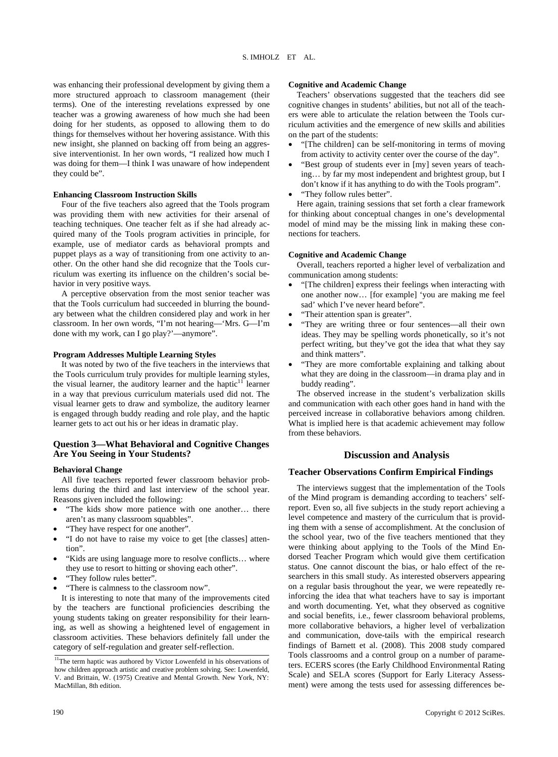was enhancing their professional development by giving them a more structured approach to classroom management (their terms). One of the interesting revelations expressed by one teacher was a growing awareness of how much she had been doing for her students, as opposed to allowing them to do things for themselves without her hovering assistance. With this new insight, she planned on backing off from being an aggressive interventionist. In her own words, "I realized how much I was doing for them—I think I was unaware of how independent they could be".

#### **Enhancing Classroom Instruction Skills**

Four of the five teachers also agreed that the Tools program was providing them with new activities for their arsenal of teaching techniques. One teacher felt as if she had already acquired many of the Tools program activities in principle, for example, use of mediator cards as behavioral prompts and puppet plays as a way of transitioning from one activity to another. On the other hand she did recognize that the Tools curriculum was exerting its influence on the children's social behavior in very positive ways.

A perceptive observation from the most senior teacher was that the Tools curriculum had succeeded in blurring the boundary between what the children considered play and work in her classroom. In her own words, "I'm not hearing—'Mrs. G—I'm done with my work, can I go play?'—anymore".

#### **Program Addresses Multiple Learning Styles**

It was noted by two of the five teachers in the interviews that the Tools curriculum truly provides for multiple learning styles, the visual learner, the auditory learner and the haptic $11$  learner in a way that previous curriculum materials used did not. The visual learner gets to draw and symbolize, the auditory learner is engaged through buddy reading and role play, and the haptic learner gets to act out his or her ideas in dramatic play.

# **Question 3—What Behavioral and Cognitive Changes Are You Seeing in Your Students?**

#### **Behavioral Change**

All five teachers reported fewer classroom behavior problems during the third and last interview of the school year. Reasons given included the following:

- "The kids show more patience with one another... there aren't as many classroom squabbles".
- "They have respect for one another".
- "I do not have to raise my voice to get [the classes] attention".
- "Kids are using language more to resolve conflicts… where they use to resort to hitting or shoving each other".
- "They follow rules better".
- "There is calmness to the classroom now".

It is interesting to note that many of the improvements cited by the teachers are functional proficiencies describing the young students taking on greater responsibility for their learning, as well as showing a heightened level of engagement in classroom activities. These behaviors definitely fall under the category of self-regulation and greater self-reflection.

#### **Cognitive and Academic Change**

Teachers' observations suggested that the teachers did see cognitive changes in students' abilities, but not all of the teachers were able to articulate the relation between the Tools curriculum activities and the emergence of new skills and abilities on the part of the students:

- "[The children] can be self-monitoring in terms of moving from activity to activity center over the course of the day".
- "Best group of students ever in [my] seven years of teaching… by far my most independent and brightest group, but I don't know if it has anything to do with the Tools program".
- "They follow rules better".

Here again, training sessions that set forth a clear framework for thinking about conceptual changes in one's developmental model of mind may be the missing link in making these connections for teachers.

## **Cognitive and Academic Change**

Overall, teachers reported a higher level of verbalization and communication among students:

- "[The children] express their feelings when interacting with one another now… [for example] 'you are making me feel sad' which I've never heard before".
- "Their attention span is greater".
- "They are writing three or four sentences—all their own ideas. They may be spelling words phonetically, so it's not perfect writing, but they've got the idea that what they say and think matters".
- "They are more comfortable explaining and talking about what they are doing in the classroom—in drama play and in buddy reading".

The observed increase in the student's verbalization skills and communication with each other goes hand in hand with the perceived increase in collaborative behaviors among children. What is implied here is that academic achievement may follow from these behaviors.

## **Discussion and Analysis**

## **Teacher Observations Confirm Empirical Findings**

The interviews suggest that the implementation of the Tools of the Mind program is demanding according to teachers' selfreport. Even so, all five subjects in the study report achieving a level competence and mastery of the curriculum that is providing them with a sense of accomplishment. At the conclusion of the school year, two of the five teachers mentioned that they were thinking about applying to the Tools of the Mind Endorsed Teacher Program which would give them certification status. One cannot discount the bias, or halo effect of the researchers in this small study. As interested observers appearing on a regular basis throughout the year, we were repeatedly reinforcing the idea that what teachers have to say is important and worth documenting. Yet, what they observed as cognitive and social benefits, i.e., fewer classroom behavioral problems, more collaborative behaviors, a higher level of verbalization and communication, dove-tails with the empirical research findings of Barnett et al. (2008). This 2008 study compared Tools classrooms and a control group on a number of parameters. ECERS scores (the Early Childhood Environmental Rating Scale) and SELA scores (Support for Early Literacy Assessment) were among the tests used for assessing differences be-

<sup>&</sup>lt;sup>11</sup>The term haptic was authored by Victor Lowenfeld in his observations of how children approach artistic and creative problem solving. See: Lowenfeld, V. and Brittain, W. (1975) Creative and Mental Growth. New York, NY: MacMillan, 8th edition.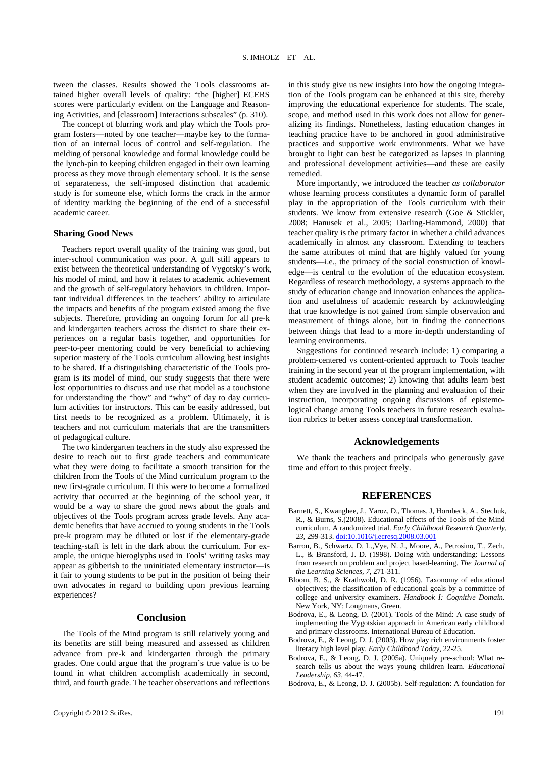tween the classes. Results showed the Tools classrooms attained higher overall levels of quality: "the [higher] ECERS scores were particularly evident on the Language and Reasoning Activities, and [classroom] Interactions subscales" (p. 310).

The concept of blurring work and play which the Tools program fosters—noted by one teacher—maybe key to the formation of an internal locus of control and self-regulation. The melding of personal knowledge and formal knowledge could be the lynch-pin to keeping children engaged in their own learning process as they move through elementary school. It is the sense of separateness, the self-imposed distinction that academic study is for someone else, which forms the crack in the armor of identity marking the beginning of the end of a successful academic career.

# **Sharing Good News**

Teachers report overall quality of the training was good, but inter-school communication was poor. A gulf still appears to exist between the theoretical understanding of Vygotsky's work, his model of mind, and how it relates to academic achievement and the growth of self-regulatory behaviors in children. Important individual differences in the teachers' ability to articulate the impacts and benefits of the program existed among the five subjects. Therefore, providing an ongoing forum for all pre-k and kindergarten teachers across the district to share their experiences on a regular basis together, and opportunities for peer-to-peer mentoring could be very beneficial to achieving superior mastery of the Tools curriculum allowing best insights to be shared. If a distinguishing characteristic of the Tools program is its model of mind, our study suggests that there were lost opportunities to discuss and use that model as a touchstone for understanding the "how" and "why" of day to day curriculum activities for instructors. This can be easily addressed, but first needs to be recognized as a problem. Ultimately, it is teachers and not curriculum materials that are the transmitters of pedagogical culture.

The two kindergarten teachers in the study also expressed the desire to reach out to first grade teachers and communicate what they were doing to facilitate a smooth transition for the children from the Tools of the Mind curriculum program to the new first-grade curriculum. If this were to become a formalized activity that occurred at the beginning of the school year, it would be a way to share the good news about the goals and objectives of the Tools program across grade levels. Any academic benefits that have accrued to young students in the Tools pre-k program may be diluted or lost if the elementary-grade teaching-staff is left in the dark about the curriculum. For example, the unique hieroglyphs used in Tools' writing tasks may appear as gibberish to the uninitiated elementary instructor—is it fair to young students to be put in the position of being their own advocates in regard to building upon previous learning experiences?

## **Conclusion**

The Tools of the Mind program is still relatively young and its benefits are still being measured and assessed as children advance from pre-k and kindergarten through the primary grades. One could argue that the program's true value is to be found in what children accomplish academically in second, third, and fourth grade. The teacher observations and reflections in this study give us new insights into how the ongoing integration of the Tools program can be enhanced at this site, thereby improving the educational experience for students. The scale, scope, and method used in this work does not allow for generalizing its findings. Nonetheless, lasting education changes in teaching practice have to be anchored in good administrative practices and supportive work environments. What we have brought to light can best be categorized as lapses in planning and professional development activities—and these are easily remedied.

More importantly, we introduced the teacher *as collaborator* whose learning process constitutes a dynamic form of parallel play in the appropriation of the Tools curriculum with their students. We know from extensive research (Goe & Stickler, 2008; Hanusek et al., 2005; Darling-Hammond, 2000) that teacher quality is the primary factor in whether a child advances academically in almost any classroom. Extending to teachers the same attributes of mind that are highly valued for young students—i.e., the primacy of the social construction of knowledge—is central to the evolution of the education ecosystem. Regardless of research methodology, a systems approach to the study of education change and innovation enhances the application and usefulness of academic research by acknowledging that true knowledge is not gained from simple observation and measurement of things alone, but in finding the connections between things that lead to a more in-depth understanding of learning environments.

Suggestions for continued research include: 1) comparing a problem-centered vs content-oriented approach to Tools teacher training in the second year of the program implementation, with student academic outcomes; 2) knowing that adults learn best when they are involved in the planning and evaluation of their instruction, incorporating ongoing discussions of epistemological change among Tools teachers in future research evaluation rubrics to better assess conceptual transformation.

## **Acknowledgements**

We thank the teachers and principals who generously gave time and effort to this project freely.

# **REFERENCES**

- Barnett, S., Kwanghee, J., Yaroz, D., Thomas, J, Hornbeck, A., Stechuk, R., & Burns, S.(2008). Educational effects of the Tools of the Mind curriculum. A randomized trial. *Early Childhood Research Quarterly, 23,* 299-313. [doi:10.1016/j.ecresq.2008.03.001](http://dx.doi.org/10.1016/j.ecresq.2008.03.001)
- Barron, B., Schwartz, D. L.,Vye, N. J., Moore, A., Petrosino, T., Zech, L., & Bransford, J. D. (1998). Doing with understanding: Lessons from research on problem and project based-learning. *The Journal of the Learning Sciences, 7,* 271-311.
- Bloom, B. S., & Krathwohl, D. R. (1956). Taxonomy of educational objectives; the classification of educational goals by a committee of college and university examiners. *Handbook I: Cognitive Domain*. New York, NY: Longmans, Green.
- Bodrova, E., & Leong, D. (2001). Tools of the Mind: A case study of implementing the Vygotskian approach in American early childhood and primary classrooms. International Bureau of Education.
- Bodrova, E., & Leong, D. J. (2003). How play rich environments foster literacy high level play. *Early Childhood Today*, 22-25.
- Bodrova, E., & Leong, D. J. (2005a). Uniquely pre-school: What research tells us about the ways young children learn. *Educational Leadership, 63,* 44-47.
- Bodrova, E., & Leong, D. J. (2005b). Self-regulation: A foundation for